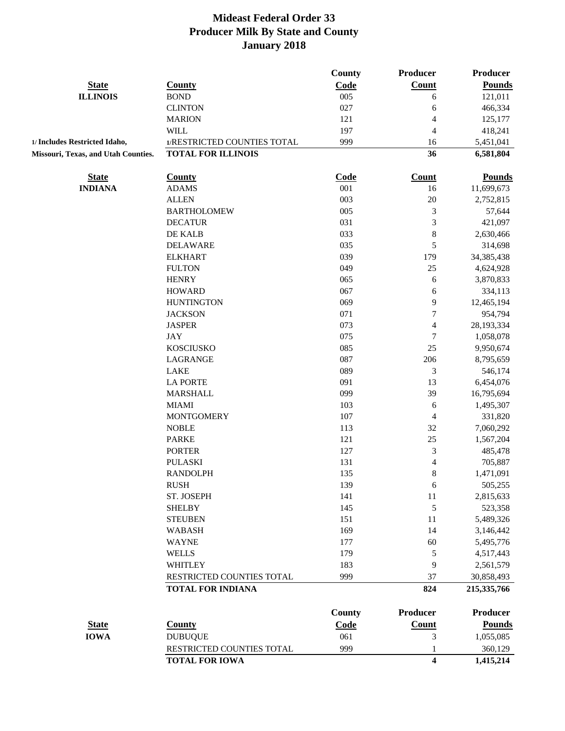|                                     |                             | <b>County</b> | <b>Producer</b>  | Producer        |
|-------------------------------------|-----------------------------|---------------|------------------|-----------------|
| <b>State</b>                        | <b>County</b>               | Code          | Count            | <b>Pounds</b>   |
| <b>ILLINOIS</b>                     | <b>BOND</b>                 | 005           | 6                | 121,011         |
|                                     | <b>CLINTON</b>              | 027           | 6                | 466,334         |
|                                     | <b>MARION</b>               | 121           | 4                | 125,177         |
|                                     | <b>WILL</b>                 | 197           | 4                | 418,241         |
| 1/ Includes Restricted Idaho,       | 1/RESTRICTED COUNTIES TOTAL | 999           | 16               | 5,451,041       |
| Missouri, Texas, and Utah Counties. | <b>TOTAL FOR ILLINOIS</b>   |               | 36               | 6,581,804       |
| <b>State</b>                        | <b>County</b>               | Code          | <b>Count</b>     | <b>Pounds</b>   |
| <b>INDIANA</b>                      | <b>ADAMS</b>                | 001           | 16               | 11,699,673      |
|                                     | <b>ALLEN</b>                | 003           | $20\,$           | 2,752,815       |
|                                     | <b>BARTHOLOMEW</b>          | 005           | 3                | 57,644          |
|                                     | <b>DECATUR</b>              | 031           | 3                | 421,097         |
|                                     | DE KALB                     | 033           | $\,8\,$          | 2,630,466       |
|                                     | <b>DELAWARE</b>             | 035           | 5                | 314,698         |
|                                     | <b>ELKHART</b>              | 039           | 179              | 34,385,438      |
|                                     | <b>FULTON</b>               | 049           | 25               | 4,624,928       |
|                                     | <b>HENRY</b>                | 065           | 6                | 3,870,833       |
|                                     | <b>HOWARD</b>               | 067           | 6                | 334,113         |
|                                     | <b>HUNTINGTON</b>           | 069           | 9                | 12,465,194      |
|                                     | <b>JACKSON</b>              | 071           | $\boldsymbol{7}$ | 954,794         |
|                                     | <b>JASPER</b>               | 073           | 4                | 28,193,334      |
|                                     | <b>JAY</b>                  | 075           | $\boldsymbol{7}$ | 1,058,078       |
|                                     | <b>KOSCIUSKO</b>            | 085           | 25               | 9,950,674       |
|                                     | LAGRANGE                    | 087           | 206              | 8,795,659       |
|                                     | LAKE                        | 089           | 3                | 546,174         |
|                                     | <b>LA PORTE</b>             | 091           | 13               | 6,454,076       |
|                                     | <b>MARSHALL</b>             | 099           | 39               | 16,795,694      |
|                                     | <b>MIAMI</b>                | 103           | 6                | 1,495,307       |
|                                     | <b>MONTGOMERY</b>           | 107           | $\overline{4}$   | 331,820         |
|                                     | <b>NOBLE</b>                | 113           | 32               | 7,060,292       |
|                                     | <b>PARKE</b>                | 121           | 25               | 1,567,204       |
|                                     | <b>PORTER</b>               | 127           | 3                | 485,478         |
|                                     | <b>PULASKI</b>              | 131           | 4                | 705,887         |
|                                     | <b>RANDOLPH</b>             | 135           | $\,8\,$          | 1,471,091       |
|                                     | <b>RUSH</b>                 | 139           | 6                | 505,255         |
|                                     | ST. JOSEPH                  | 141           | 11               | 2,815,633       |
|                                     | <b>SHELBY</b>               | 145           | $\mathfrak s$    | 523,358         |
|                                     | <b>STEUBEN</b>              | 151           | 11               | 5,489,326       |
|                                     | <b>WABASH</b>               | 169           | 14               | 3,146,442       |
|                                     | <b>WAYNE</b>                | 177           | 60               | 5,495,776       |
|                                     | <b>WELLS</b>                | 179           | $\sqrt{5}$       | 4,517,443       |
|                                     | <b>WHITLEY</b>              | 183           | 9                | 2,561,579       |
|                                     | RESTRICTED COUNTIES TOTAL   | 999           | 37               | 30,858,493      |
|                                     | <b>TOTAL FOR INDIANA</b>    |               | 824              | 215,335,766     |
|                                     |                             | <b>County</b> | <b>Producer</b>  | <b>Producer</b> |
| <b>State</b>                        | <b>County</b>               | Code          | Count            | <b>Pounds</b>   |
| <b>IOWA</b>                         | <b>DUBUQUE</b>              | 061           | 3                | 1,055,085       |
|                                     | RESTRICTED COUNTIES TOTAL   | 999           | 1                | 360,129         |
|                                     | <b>TOTAL FOR IOWA</b>       |               | 4                | 1,415,214       |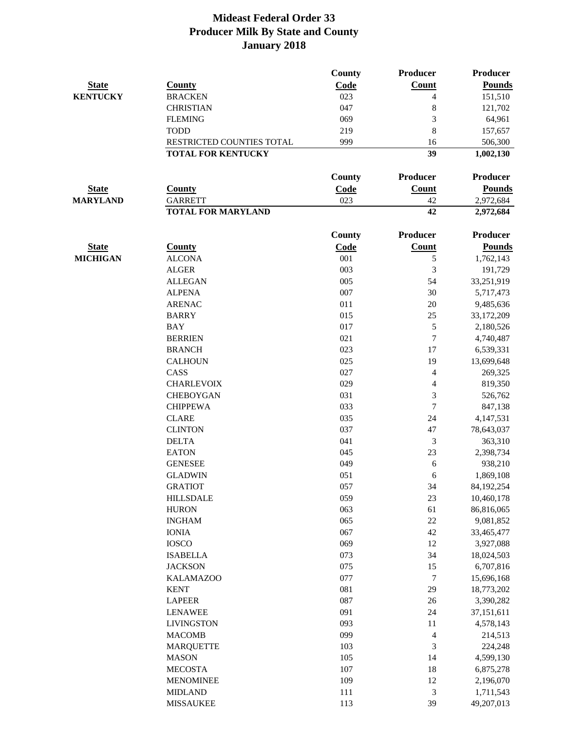|                 |                           | County | Producer                 | <b>Producer</b> |
|-----------------|---------------------------|--------|--------------------------|-----------------|
| <b>State</b>    | <b>County</b>             | Code   | <b>Count</b>             | <b>Pounds</b>   |
| <b>KENTUCKY</b> | <b>BRACKEN</b>            | 023    | 4                        | 151,510         |
|                 | <b>CHRISTIAN</b>          | 047    | 8                        | 121,702         |
|                 | <b>FLEMING</b>            | 069    | 3                        | 64,961          |
|                 | <b>TODD</b>               | 219    | 8                        | 157,657         |
|                 | RESTRICTED COUNTIES TOTAL | 999    | 16                       | 506,300         |
|                 | <b>TOTAL FOR KENTUCKY</b> |        | 39                       | 1,002,130       |
|                 |                           |        |                          |                 |
|                 |                           | County | <b>Producer</b>          | <b>Producer</b> |
| <b>State</b>    | <b>County</b>             | Code   | Count                    | <b>Pounds</b>   |
| <b>MARYLAND</b> | <b>GARRETT</b>            | 023    | 42                       | 2,972,684       |
|                 | <b>TOTAL FOR MARYLAND</b> |        | 42                       | 2,972,684       |
|                 |                           | County | Producer                 | <b>Producer</b> |
| <b>State</b>    | <b>County</b>             | Code   | Count                    | <b>Pounds</b>   |
| <b>MICHIGAN</b> | <b>ALCONA</b>             | 001    | $\mathfrak s$            | 1,762,143       |
|                 | <b>ALGER</b>              | 003    | 3                        | 191,729         |
|                 | <b>ALLEGAN</b>            | 005    | 54                       | 33,251,919      |
|                 | <b>ALPENA</b>             | 007    | 30                       | 5,717,473       |
|                 | <b>ARENAC</b>             | 011    | 20                       | 9,485,636       |
|                 | <b>BARRY</b>              | 015    | 25                       | 33,172,209      |
|                 | <b>BAY</b>                | 017    | $\sqrt{5}$               |                 |
|                 |                           |        | $\tau$                   | 2,180,526       |
|                 | <b>BERRIEN</b>            | 021    |                          | 4,740,487       |
|                 | <b>BRANCH</b>             | 023    | 17                       | 6,539,331       |
|                 | <b>CALHOUN</b>            | 025    | 19                       | 13,699,648      |
|                 | CASS                      | 027    | $\overline{4}$           | 269,325         |
|                 | <b>CHARLEVOIX</b>         | 029    | $\overline{\mathcal{A}}$ | 819,350         |
|                 | <b>CHEBOYGAN</b>          | 031    | 3                        | 526,762         |
|                 | <b>CHIPPEWA</b>           | 033    | $\overline{7}$           | 847,138         |
|                 | <b>CLARE</b>              | 035    | 24                       | 4,147,531       |
|                 | <b>CLINTON</b>            | 037    | 47                       | 78,643,037      |
|                 | <b>DELTA</b>              | 041    | $\mathfrak{Z}$           | 363,310         |
|                 | <b>EATON</b>              | 045    | 23                       | 2,398,734       |
|                 | <b>GENESEE</b>            | 049    | 6                        | 938,210         |
|                 | <b>GLADWIN</b>            | 051    | 6                        | 1,869,108       |
|                 | <b>GRATIOT</b>            | 057    | 34                       | 84,192,254      |
|                 | <b>HILLSDALE</b>          | 059    | 23                       | 10,460,178      |
|                 | <b>HURON</b>              | 063    | 61                       | 86,816,065      |
|                 | <b>INGHAM</b>             | 065    | $22\,$                   | 9,081,852       |
|                 | <b>IONIA</b>              | 067    | 42                       | 33,465,477      |
|                 | <b>IOSCO</b>              | 069    | 12                       | 3,927,088       |
|                 | <b>ISABELLA</b>           | 073    | 34                       | 18,024,503      |
|                 | <b>JACKSON</b>            | 075    | 15                       | 6,707,816       |
|                 | <b>KALAMAZOO</b>          | 077    | $\boldsymbol{7}$         | 15,696,168      |
|                 | <b>KENT</b>               | 081    | 29                       | 18,773,202      |
|                 | <b>LAPEER</b>             | 087    | 26                       | 3,390,282       |
|                 | <b>LENAWEE</b>            | 091    | 24                       | 37,151,611      |
|                 | <b>LIVINGSTON</b>         | 093    | 11                       | 4,578,143       |
|                 | <b>MACOMB</b>             | 099    | $\overline{4}$           | 214,513         |
|                 | <b>MARQUETTE</b>          | 103    | 3                        | 224,248         |
|                 | <b>MASON</b>              | 105    | 14                       | 4,599,130       |
|                 | <b>MECOSTA</b>            | 107    | 18                       | 6,875,278       |
|                 | <b>MENOMINEE</b>          | 109    | 12                       | 2,196,070       |
|                 | <b>MIDLAND</b>            | 111    | $\mathfrak{Z}$           | 1,711,543       |
|                 | <b>MISSAUKEE</b>          | 113    | 39                       | 49,207,013      |
|                 |                           |        |                          |                 |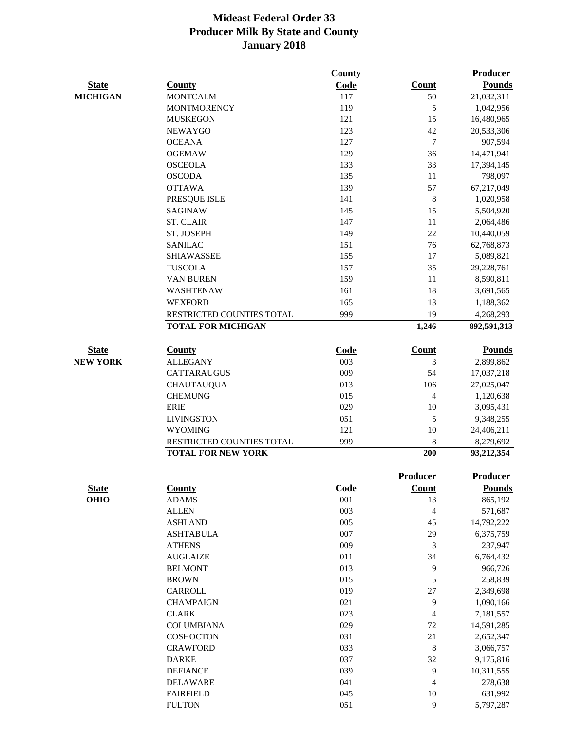|                 |                           | <b>County</b> |                          | <b>Producer</b> |
|-----------------|---------------------------|---------------|--------------------------|-----------------|
| <b>State</b>    | County                    | Code          | Count                    | <b>Pounds</b>   |
| <b>MICHIGAN</b> | <b>MONTCALM</b>           | 117           | 50                       | 21,032,311      |
|                 | <b>MONTMORENCY</b>        | 119           | 5                        | 1,042,956       |
|                 | <b>MUSKEGON</b>           | 121           | 15                       | 16,480,965      |
|                 | <b>NEWAYGO</b>            | 123           | 42                       | 20,533,306      |
|                 | <b>OCEANA</b>             | 127           | $\tau$                   | 907,594         |
|                 | <b>OGEMAW</b>             | 129           | 36                       | 14,471,941      |
|                 | <b>OSCEOLA</b>            | 133           | 33                       | 17,394,145      |
|                 | <b>OSCODA</b>             | 135           | $11\,$                   | 798,097         |
|                 | <b>OTTAWA</b>             | 139           | 57                       | 67,217,049      |
|                 | PRESQUE ISLE              | 141           | $\,$ 8 $\,$              | 1,020,958       |
|                 | <b>SAGINAW</b>            | 145           | 15                       | 5,504,920       |
|                 | <b>ST. CLAIR</b>          | 147           | 11                       | 2,064,486       |
|                 | ST. JOSEPH                | 149           | 22                       | 10,440,059      |
|                 | <b>SANILAC</b>            | 151           | 76                       | 62,768,873      |
|                 | <b>SHIAWASSEE</b>         | 155           | 17                       | 5,089,821       |
|                 | <b>TUSCOLA</b>            | 157           | 35                       | 29,228,761      |
|                 | VAN BUREN                 | 159           | 11                       | 8,590,811       |
|                 | WASHTENAW                 | 161           | 18                       | 3,691,565       |
|                 | <b>WEXFORD</b>            | 165           | 13                       | 1,188,362       |
|                 | RESTRICTED COUNTIES TOTAL | 999           | 19                       | 4,268,293       |
|                 | <b>TOTAL FOR MICHIGAN</b> |               | 1,246                    | 892,591,313     |
| <b>State</b>    | <b>County</b>             | Code          | <b>Count</b>             | <b>Pounds</b>   |
| <b>NEW YORK</b> | <b>ALLEGANY</b>           | 003           | 3                        | 2,899,862       |
|                 | <b>CATTARAUGUS</b>        | 009           | 54                       | 17,037,218      |
|                 | <b>CHAUTAUQUA</b>         | 013           | 106                      | 27,025,047      |
|                 | <b>CHEMUNG</b>            | 015           | $\overline{\mathcal{L}}$ | 1,120,638       |
|                 | <b>ERIE</b>               | 029           | 10                       | 3,095,431       |
|                 | <b>LIVINGSTON</b>         | 051           | 5                        | 9,348,255       |
|                 | <b>WYOMING</b>            | 121           | 10                       | 24,406,211      |
|                 | RESTRICTED COUNTIES TOTAL | 999           | 8                        | 8,279,692       |
|                 | <b>TOTAL FOR NEW YORK</b> |               | 200                      | 93,212,354      |
|                 |                           |               | Producer                 | Producer        |
| <b>State</b>    | <b>County</b>             | Code          | <b>Count</b>             | <b>Pounds</b>   |
| <b>OHIO</b>     | <b>ADAMS</b>              | 001           | 13                       | 865,192         |
|                 | <b>ALLEN</b>              | 003           | $\overline{\mathcal{L}}$ | 571,687         |
|                 | <b>ASHLAND</b>            | 005           | 45                       | 14,792,222      |
|                 | <b>ASHTABULA</b>          | 007           | 29                       | 6,375,759       |
|                 | <b>ATHENS</b>             | 009           | 3                        | 237,947         |
|                 | <b>AUGLAIZE</b>           | 011           | 34                       | 6,764,432       |
|                 | <b>BELMONT</b>            | 013           | 9                        | 966,726         |
|                 | <b>BROWN</b>              | 015           | 5                        | 258,839         |
|                 | CARROLL                   | 019           | 27                       | 2,349,698       |
|                 | <b>CHAMPAIGN</b>          | 021           | 9                        | 1,090,166       |
|                 | <b>CLARK</b>              | 023           | $\overline{\mathcal{L}}$ | 7,181,557       |
|                 | <b>COLUMBIANA</b>         | 029           | 72                       | 14,591,285      |
|                 | <b>COSHOCTON</b>          | 031           | 21                       | 2,652,347       |
|                 | <b>CRAWFORD</b>           | 033           | $\,8\,$                  | 3,066,757       |
|                 | <b>DARKE</b>              | 037           | 32                       | 9,175,816       |
|                 | <b>DEFIANCE</b>           | 039           | 9                        | 10,311,555      |
|                 | <b>DELAWARE</b>           | 041           | 4                        | 278,638         |
|                 | <b>FAIRFIELD</b>          | 045           | 10                       | 631,992         |
|                 |                           |               |                          |                 |

FULTON 051 9 5,797,287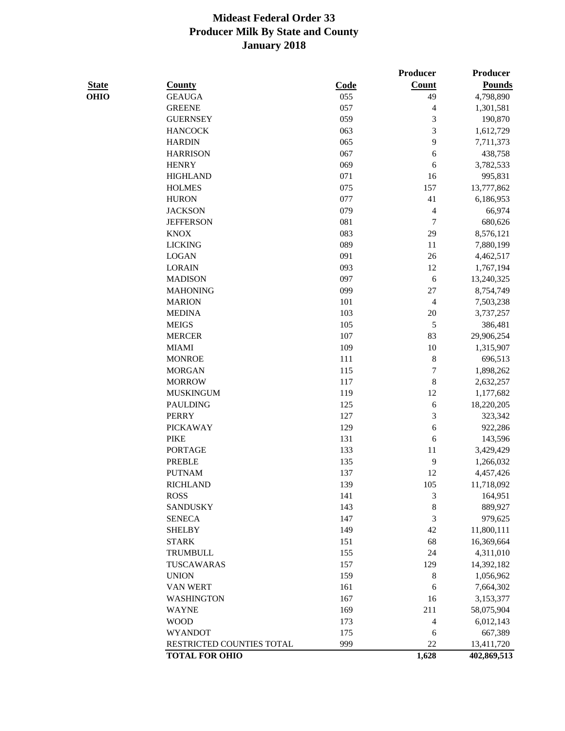|              |                                                    |         | <b>Producer</b> | Producer                  |
|--------------|----------------------------------------------------|---------|-----------------|---------------------------|
| <b>State</b> | <b>County</b>                                      | Code    | Count           | <b>Pounds</b>             |
| <b>OHIO</b>  | <b>GEAUGA</b>                                      | 055     | 49              | 4,798,890                 |
|              | <b>GREENE</b>                                      | 057     | 4               | 1,301,581                 |
|              | <b>GUERNSEY</b>                                    | 059     | $\mathfrak 3$   | 190,870                   |
|              | <b>HANCOCK</b>                                     | 063     | 3               | 1,612,729                 |
|              | <b>HARDIN</b>                                      | 065     | 9               | 7,711,373                 |
|              | <b>HARRISON</b>                                    | 067     | 6               | 438,758                   |
|              | <b>HENRY</b>                                       | 069     | 6               | 3,782,533                 |
|              | <b>HIGHLAND</b>                                    | 071     | 16              | 995,831                   |
|              | <b>HOLMES</b>                                      | 075     | 157             | 13,777,862                |
|              | <b>HURON</b>                                       | 077     | 41              | 6,186,953                 |
|              | <b>JACKSON</b>                                     | 079     | $\overline{4}$  | 66,974                    |
|              | <b>JEFFERSON</b>                                   | 081     | 7               | 680,626                   |
|              | <b>KNOX</b>                                        | 083     | 29              | 8,576,121                 |
|              | <b>LICKING</b>                                     | 089     | 11              | 7,880,199                 |
|              | <b>LOGAN</b>                                       | 091     | 26              | 4,462,517                 |
|              | <b>LORAIN</b>                                      | 093     | 12              | 1,767,194                 |
|              | <b>MADISON</b>                                     | 097     | $\sqrt{6}$      | 13,240,325                |
|              | <b>MAHONING</b>                                    | 099     | 27              | 8,754,749                 |
|              | <b>MARION</b>                                      | 101     | $\overline{4}$  | 7,503,238                 |
|              | <b>MEDINA</b>                                      | 103     | 20              | 3,737,257                 |
|              | <b>MEIGS</b>                                       | 105     | $\sqrt{5}$      | 386,481                   |
|              | <b>MERCER</b>                                      | $107\,$ | 83              | 29,906,254                |
|              | <b>MIAMI</b>                                       | 109     | 10              | 1,315,907                 |
|              | <b>MONROE</b>                                      | 111     | 8               | 696,513                   |
|              | <b>MORGAN</b>                                      | 115     | $\sqrt{ }$      | 1,898,262                 |
|              | <b>MORROW</b>                                      | 117     | 8               | 2,632,257                 |
|              | <b>MUSKINGUM</b>                                   | 119     | 12              | 1,177,682                 |
|              | <b>PAULDING</b>                                    | 125     | $\sqrt{6}$      | 18,220,205                |
|              | <b>PERRY</b>                                       | 127     | $\mathfrak{Z}$  | 323,342                   |
|              | <b>PICKAWAY</b>                                    | 129     | 6               | 922,286                   |
|              | <b>PIKE</b>                                        | 131     | $\sqrt{6}$      | 143,596                   |
|              | <b>PORTAGE</b>                                     | 133     | 11              | 3,429,429                 |
|              | <b>PREBLE</b>                                      | 135     | 9               | 1,266,032                 |
|              | <b>PUTNAM</b>                                      | 137     | 12              | 4,457,426                 |
|              | <b>RICHLAND</b>                                    | 139     | 105             | 11,718,092                |
|              | <b>ROSS</b>                                        | 141     | 3               | 164,951                   |
|              | <b>SANDUSKY</b>                                    | 143     | $\,8\,$         | 889,927                   |
|              | <b>SENECA</b>                                      | 147     | $\mathfrak{Z}$  | 979,625                   |
|              | <b>SHELBY</b>                                      | 149     | 42              | 11,800,111                |
|              | <b>STARK</b>                                       | 151     | 68              | 16,369,664                |
|              | <b>TRUMBULL</b>                                    | 155     | 24              | 4,311,010                 |
|              | TUSCAWARAS                                         | 157     | 129             |                           |
|              |                                                    |         |                 | 14,392,182                |
|              | <b>UNION</b>                                       | 159     | $\,8$           | 1,056,962                 |
|              | VAN WERT                                           | 161     | 6               | 7,664,302                 |
|              | <b>WASHINGTON</b>                                  | 167     | 16              | 3,153,377                 |
|              | <b>WAYNE</b>                                       | 169     | 211             | 58,075,904                |
|              | <b>WOOD</b>                                        | 173     | 4               | 6,012,143                 |
|              | <b>WYANDOT</b>                                     | 175     | 6               | 667,389                   |
|              | RESTRICTED COUNTIES TOTAL<br><b>TOTAL FOR OHIO</b> | 999     | 22<br>1,628     | 13,411,720<br>402,869,513 |